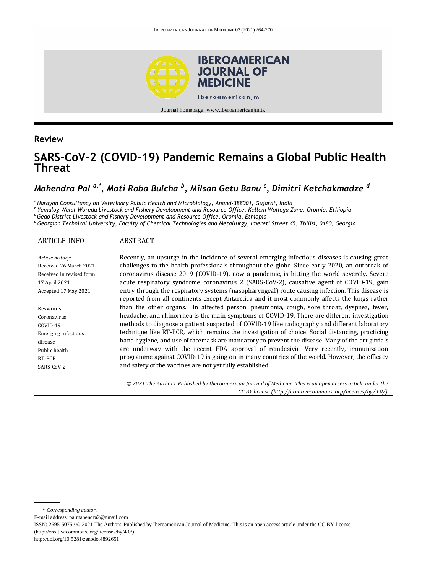

Journal homepage: www.iberoamericanjm.tk

## **Review**

# **SARS-CoV-2 (COVID-19) Pandemic Remains a Global Public Health Threat**

# *Mahendra Pal a,\*, Mati Roba Bulcha <sup>b</sup> , Milsan Getu Banu <sup>c</sup> , Dimitri Ketchakmadze <sup>d</sup>*

*<sup>a</sup>Narayan Consultancy on Veterinary Public Health and Microbiology, Anand-388001, Gujarat, India*

*b Yemalog Walal Woreda Livestock and Fishery Development and Resource Office, Kellem Wollega Zone, Oromia, Ethiopia*

*<sup>c</sup>Gedo District Livestock and Fishery Development and Resource Office, Oromia, Ethiopia*

*<sup>d</sup>Georgian Technical University, Faculty of Chemical Technologies and Metallurgy, Imereti Street 45, Tbilisi, 0180, Georgia*

#### ARTICLE INFO

#### ABSTRACT

| Article history:           | Recently, an upsurge in the incidence of several emerging infectious diseases is causing great  |
|----------------------------|-------------------------------------------------------------------------------------------------|
| Received 26 March 2021     | challenges to the health professionals throughout the globe. Since early 2020, an outbreak of   |
| Received in revised form   | coronavirus disease 2019 (COVID-19), now a pandemic, is hitting the world severely. Severe      |
| 17 April 2021              | acute respiratory syndrome coronavirus 2 (SARS-CoV-2), causative agent of COVID-19, gain        |
| Accepted 17 May 2021       | entry through the respiratory systems (nasopharyngeal) route causing infection. This disease is |
|                            | reported from all continents except Antarctica and it most commonly affects the lungs rather    |
| Keywords:                  | than the other organs. In affected person, pneumonia, cough, sore throat, dyspnea, fever,       |
| Coronavirus                | headache, and rhinorrhea is the main symptoms of COVID-19. There are different investigation    |
| COVID-19                   | methods to diagnose a patient suspected of COVID-19 like radiography and different laboratory   |
| <b>Emerging infectious</b> | technique like RT-PCR, which remains the investigation of choice. Social distancing, practicing |
| disease                    | hand hygiene, and use of facemask are mandatory to prevent the disease. Many of the drug trials |
| Public health              | are underway with the recent FDA approval of remdesivir. Very recently, immunization            |
| RT-PCR                     | programme against COVID-19 is going on in many countries of the world. However, the efficacy    |
| SARS-CoV-2                 | and safety of the vaccines are not yet fully established.                                       |

*© 2021 The Authors. Published by Iberoamerican Journal of Medicine. This is an open access article under the CC BY license (http:/[/creativecommons. org/licenses/by/4.0/\)](https://creativecommons.org/licenses/by/4.0/).*

E-mail address: palmahendra2@gmail.com

http://doi.org/10.5281/zenodo.4892651

<sup>\*</sup> *Corresponding author.*

ISSN: 2695-5075 / © 2021 The Authors. Published by Iberoamerican Journal of Medicine. This is an open access article under the CC BY license (http://creativecommons. org/licenses/by/4.0/).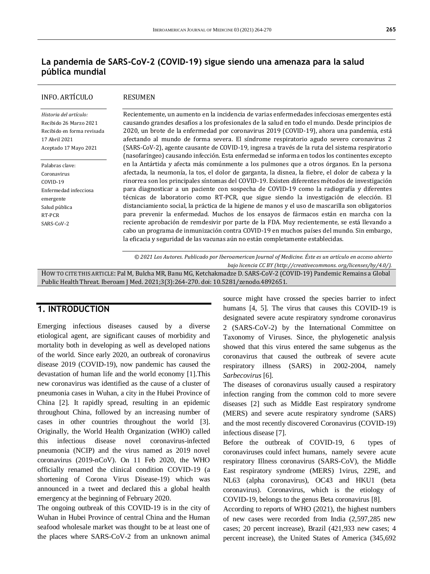# **La pandemia de SARS-CoV-2 (COVID-19) sigue siendo una amenaza para la salud pública mundial**

#### INFO. ARTÍCULO

#### RESUMEN

*Historia del artículo:*  Recibido 26 Marzo 2021 Recibido en forma revisada 17 Abril 2021 Aceptado 17 Mayo 2021

Palabras clave: Coronavirus COVID-19 Enfermedad infecciosa emergente Salud pública RT-PCR SARS-CoV-2

Recientemente, un aumento en la incidencia de varias enfermedades infecciosas emergentes está causando grandes desafíos a los profesionales de la salud en todo el mundo. Desde principios de 2020, un brote de la enfermedad por coronavirus 2019 (COVID-19), ahora una pandemia, está afectando al mundo de forma severa. El síndrome respiratorio agudo severo coronavirus 2 (SARS-CoV-2), agente causante de COVID-19, ingresa a través de la ruta del sistema respiratorio (nasofaríngeo) causando infección. Esta enfermedad se informa en todos los continentes excepto en la Antártida y afecta más comúnmente a los pulmones que a otros órganos. En la persona afectada, la neumonía, la tos, el dolor de garganta, la disnea, la fiebre, el dolor de cabeza y la rinorrea son los principales síntomas del COVID-19. Existen diferentes métodos de investigación para diagnosticar a un paciente con sospecha de COVID-19 como la radiografía y diferentes técnicas de laboratorio como RT-PCR, que sigue siendo la investigación de elección. El distanciamiento social, la práctica de la higiene de manos y el uso de mascarilla son obligatorios para prevenir la enfermedad. Muchos de los ensayos de fármacos están en marcha con la reciente aprobación de remdesivir por parte de la FDA. Muy recientemente, se está llevando a cabo un programa de inmunización contra COVID-19 en muchos países del mundo. Sin embargo, la eficacia y seguridad de las vacunas aún no están completamente establecidas.

*© 2021 Los Autores. Publicado por Iberoamerican Journal of Medicine. Éste es un artículo en acceso abierto bajo licencia CC BY (http:/[/creativecommons. org/licenses/by/4.0/\)](https://creativecommons.org/licenses/by/4.0/).*

HOW TO CITE THIS ARTICLE: Pal M, Bulcha MR, Banu MG, Ketchakmadze D. SARS-CoV-2 (COVID-19) Pandemic Remains a Global Public Health Threat. Iberoam J Med. 2021;3(3):264-270. doi[: 10.5281/zenodo.4892651.](http://doi.org/10.5281/zenodo.4892651)

## **1. INTRODUCTION**

Emerging infectious diseases caused by a diverse etiological agent, are significant causes of morbidity and mortality both in developing as well as developed nations of the world. Since early 2020, an outbreak of coronavirus disease 2019 (COVID-19), now pandemic has caused the devastation of human life and the world economy [1].This new coronavirus was identified as the cause of a cluster of pneumonia cases in Wuhan, a city in the Hubei Province of China [2]. It rapidly spread, resulting in an epidemic throughout China, followed by an increasing number of cases in other countries throughout the world [3]. Originally, the World Health Organization (WHO) called this infectious disease novel coronavirus-infected pneumonia (NCIP) and the virus named as 2019 novel coronavirus (2019-nCoV). On 11 Feb 2020, the WHO officially renamed the clinical condition COVID-19 (a shortening of Corona Virus Disease-19) which was announced in a tweet and declared this a global health emergency at the beginning of February 2020.

The ongoing outbreak of this COVID-19 is in the city of Wuhan in Hubei Province of central China and the Human seafood wholesale market was thought to be at least one of the places where SARS-CoV-2 from an unknown animal

source might have crossed the species barrier to infect humans [4, 5]. The virus that causes this COVID-19 is designated severe acute respiratory syndrome coronavirus 2 (SARS-CoV-2) by the International Committee on Taxonomy of Viruses. Since, the phylogenetic analysis showed that this virus entered the same subgenus as the coronavirus that caused the outbreak of severe acute respiratory illness (SARS) in 2002-2004, namely *Sarbecovirus* [6].

The diseases of coronavirus usually caused a respiratory infection ranging from the common cold to more severe diseases [2] such as Middle East respiratory syndrome (MERS) and severe acute respiratory syndrome (SARS) and the most recently discovered Coronavirus (COVID-19) infectious disease [7].

Before the outbreak of COVID-19, 6 types of coronaviruses could infect humans, namely severe acute respiratory Illness coronavirus (SARS-CoV), the Middle East respiratory syndrome (MERS) 1virus, 229E, and NL63 (alpha coronavirus), OC43 and HKU1 (beta coronavirus). Coronavirus, which is the etiology of COVID-19, belongs to the genus Beta coronavirus [8].

According to reports of WHO (2021), the highest numbers of new cases were recorded from India (2,597,285 new cases; 20 percent increase), Brazil (421,933 new cases; 4 percent increase), the United States of America (345,692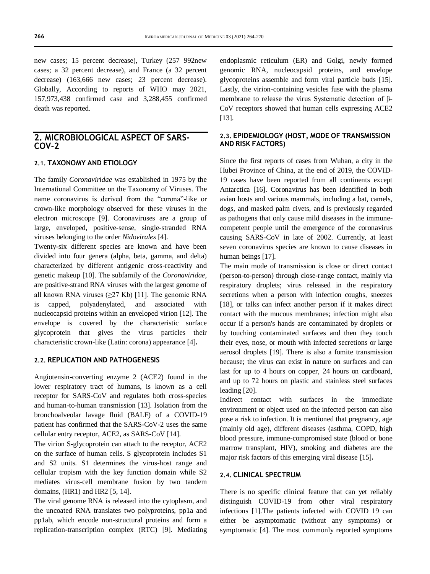new cases; 15 percent decrease), Turkey (257 992new cases; a 32 percent decrease), and France (a 32 percent decrease) (163,666 new cases; 23 percent decrease). Globally, According to reports of WHO may 2021, 157,973,438 confirmed case and 3,288,455 confirmed death was reported.

### **2. MICROBIOLOGICAL ASPECT OF SARS-COV-2**

#### **2.1. TAXONOMY AND ETIOLOGY**

The family *Coronaviridae* was established in 1975 by the International Committee on the Taxonomy of Viruses. The name coronavirus is derived from the "corona"-like or crown-like morphology observed for these viruses in the electron microscope [9]. Coronaviruses are a group of large, enveloped, positive-sense, single-stranded RNA viruses belonging to the order *Nidovirales* [4].

Twenty-six different species are known and have been divided into four genera (alpha, beta, gamma, and delta) characterized by different antigenic cross-reactivity and genetic makeup [10]. The subfamily of the *Coronaviridae*, are positive-strand RNA viruses with the largest genome of all known RNA viruses  $(≥27$  Kb) [11]. The genomic RNA is capped, polyadenylated, and associated with nucleocapsid proteins within an enveloped virion [12]. The envelope is covered by the characteristic surface glycoprotein that gives the virus particles their characteristic crown-like (Latin: corona) appearance [4]**.**

#### **2.2. REPLICATION AND PATHOGENESIS**

Angiotensin-converting enzyme 2 (ACE2) found in the lower respiratory tract of humans, is known as a cell receptor for SARS-CoV and regulates both cross-species and human-to-human transmission [13]. Isolation from the bronchoalveolar lavage fluid (BALF) of a COVID-19 patient has confirmed that the SARS-CoV-2 uses the same cellular entry receptor, ACE2, as SARS-CoV [14].

The virion S-glycoprotein can attach to the receptor, ACE2 on the surface of human cells. S glycoprotein includes S1 and S2 units. S1 determines the virus-host range and cellular tropism with the key function domain while S2 mediates virus-cell membrane fusion by two tandem domains, (HR1) and HR2 [5, 14].

The viral genome RNA is released into the cytoplasm, and the uncoated RNA translates two polyproteins, pp1a and pp1ab, which encode non-structural proteins and form a replication-transcription complex (RTC) [9]. Mediating endoplasmic reticulum (ER) and Golgi, newly formed genomic RNA, nucleocapsid proteins, and envelope glycoproteins assemble and form viral particle buds [15]. Lastly, the virion-containing vesicles fuse with the plasma membrane to release the virus Systematic detection of β-CoV receptors showed that human cells expressing ACE2 [13].

#### **2.3. EPIDEMIOLOGY (HOST, MODE OF TRANSMISSION AND RISK FACTORS)**

Since the first reports of cases from Wuhan, a city in the Hubei Province of China, at the end of 2019, the COVID-19 cases have been reported from all continents except Antarctica [16]. Coronavirus has been identified in both avian hosts and various mammals, including a bat, camels, dogs, and masked palm civets, and is previously regarded as pathogens that only cause mild diseases in the immunecompetent people until the emergence of the coronavirus causing SARS-CoV in late of 2002. Currently, at least seven coronavirus species are known to cause diseases in human beings [17].

The main mode of transmission is close or direct contact (person-to-person) through close-range contact, mainly via respiratory droplets; virus released in the respiratory secretions when a person with infection coughs, sneezes [18], or talks can infect another person if it makes direct contact with the mucous membranes; infection might also occur if a person's hands are contaminated by droplets or by touching contaminated surfaces and then they touch their eyes, nose, or mouth with infected secretions or large aerosol droplets [19]. There is also a fomite transmission because; the virus can exist in nature on surfaces and can last for up to 4 hours on copper, 24 hours on cardboard, and up to 72 hours on plastic and stainless steel surfaces leading [20].

Indirect contact with surfaces in the immediate environment or object used on the infected person can also pose a risk to infection. It is mentioned that pregnancy, age (mainly old age), different diseases (asthma, COPD, high blood pressure, immune-compromised state (blood or bone marrow transplant, HIV), smoking and diabetes are the major risk factors of this emerging viral disease [15]**.**

#### **2.4. CLINICAL SPECTRUM**

There is no specific clinical feature that can yet reliably distinguish COVID-19 from other viral respiratory infections [1].The patients infected with COVID 19 can either be asymptomatic (without any symptoms) or symptomatic [4]. The most commonly reported symptoms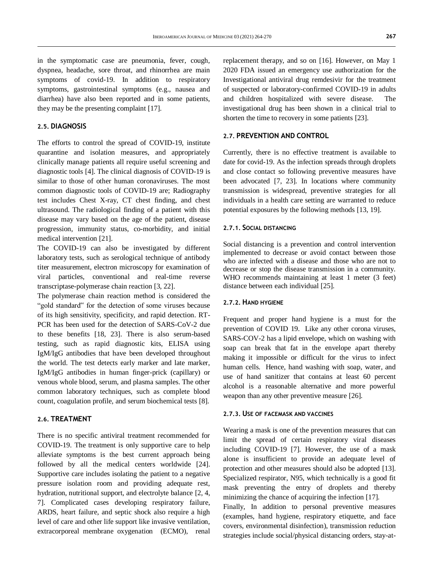in the symptomatic case are pneumonia, fever, cough, dyspnea, headache, sore throat, and rhinorrhea are main symptoms of covid-19. In addition to respiratory symptoms, gastrointestinal symptoms (e.g., nausea and diarrhea) have also been reported and in some patients, they may be the presenting complaint [17].

#### **2.5. DIAGNOSIS**

The efforts to control the spread of COVID-19, institute quarantine and isolation measures, and appropriately clinically manage patients all require useful screening and diagnostic tools [4]. The clinical diagnosis of COVID-19 is similar to those of other human coronaviruses. The most common diagnostic tools of COVID-19 are; Radiography test includes Chest X-ray, CT chest finding, and chest ultrasound. The radiological finding of a patient with this disease may vary based on the age of the patient, disease progression, immunity status, co-morbidity, and initial medical intervention [21].

The COVID-19 can also be investigated by different laboratory tests, such as serological technique of antibody titer measurement, electron microscopy for examination of viral particles, conventional and real-time reverse transcriptase-polymerase chain reaction [3, 22].

The polymerase chain reaction method is considered the "gold standard" for the detection of some viruses because of its high sensitivity, specificity, and rapid detection. RT-PCR has been used for the detection of SARS-CoV-2 due to these benefits [18, 23]. There is also serum-based testing, such as rapid diagnostic kits, ELISA using IgM/IgG antibodies that have been developed throughout the world. The test detects early marker and late marker, IgM/IgG antibodies in human finger-prick (capillary) or venous whole blood, serum, and plasma samples. The other common laboratory techniques, such as complete blood count, coagulation profile, and serum biochemical tests [8].

#### **2.6. TREATMENT**

There is no specific antiviral treatment recommended for COVID-19. The treatment is only supportive care to help alleviate symptoms is the best current approach being followed by all the medical centers worldwide [24]. Supportive care includes isolating the patient to a negative pressure isolation room and providing adequate rest, hydration, nutritional support, and electrolyte balance [2, 4, 7]. Complicated cases developing respiratory failure, ARDS, heart failure, and septic shock also require a high level of care and other life support like invasive ventilation, extracorporeal membrane oxygenation (ECMO), renal replacement therapy, and so on [16]. However, on May 1 2020 FDA issued an emergency use authorization for the Investigational antiviral drug remdesivir for the treatment of suspected or laboratory-confirmed COVID-19 in adults and children hospitalized with severe disease. The investigational drug has been shown in a clinical trial to shorten the time to recovery in some patients [23].

#### **2.7. PREVENTION AND CONTROL**

Currently, there is no effective treatment is available to date for covid-19. As the infection spreads through droplets and close contact so following preventive measures have been advocated [7, 23]. In locations where community transmission is widespread, preventive strategies for all individuals in a health care setting are warranted to reduce potential exposures by the following methods [13, 19].

#### **2.7.1. SOCIAL DISTANCING**

Social distancing is a prevention and control intervention implemented to decrease or avoid contact between those who are infected with a disease and those who are not to decrease or stop the disease transmission in a community. WHO recommends maintaining at least 1 meter (3 feet) distance between each individual [25].

#### **2.7.2. HAND HYGIENE**

Frequent and proper hand hygiene is a must for the prevention of COVID 19. Like any other corona viruses, SARS-COV-2 has a lipid envelope, which on washing with soap can break that fat in the envelope apart thereby making it impossible or difficult for the virus to infect human cells. Hence, hand washing with soap, water, and use of hand sanitizer that contains at least 60 percent alcohol is a reasonable alternative and more powerful weapon than any other preventive measure [26].

#### **2.7.3. USE OF FACEMASK AND VACCINES**

Wearing a mask is one of the prevention measures that can limit the spread of certain respiratory viral diseases including COVID-19 [7]. However, the use of a mask alone is insufficient to provide an adequate level of protection and other measures should also be adopted [13]. Specialized respirator, N95, which technically is a good fit mask preventing the entry of droplets and thereby minimizing the chance of acquiring the infection [17].

Finally, In addition to personal preventive measures (examples, hand hygiene, respiratory etiquette, and face covers, environmental disinfection), transmission reduction strategies include social/physical distancing orders, stay-at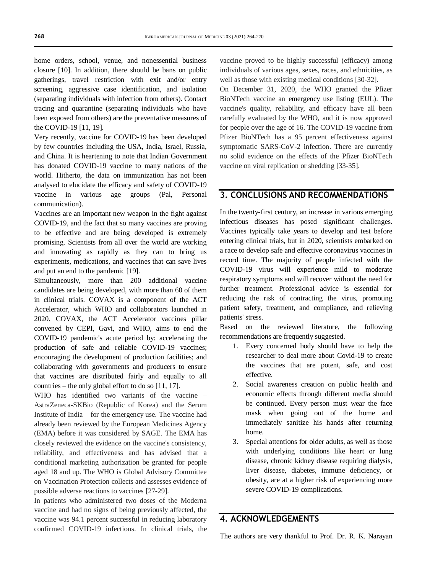home orders, school, venue, and nonessential business closure [10]. In addition, there should be bans on public gatherings, travel restriction with exit and/or entry screening, aggressive case identification, and isolation (separating individuals with infection from others). Contact tracing and quarantine (separating individuals who have been exposed from others) are the preventative measures of the COVID-19 [11, 19].

Very recently, vaccine for COVID-19 has been developed by few countries including the USA, India, Israel, Russia, and China. It is heartening to note that Indian Government has donated COVID-19 vaccine to many nations of the world. Hitherto, the data on immunization has not been analysed to elucidate the efficacy and safety of COVID-19 vaccine in various age groups (Pal, Personal communication).

Vaccines are an important new weapon in the fight against COVID-19, and the fact that so many vaccines are proving to be effective and are being developed is extremely promising. Scientists from all over the world are working and innovating as rapidly as they can to bring us experiments, medications, and vaccines that can save lives and put an end to the pandemic [19].

Simultaneously, more than 200 additional vaccine candidates are being developed, with more than 60 of them in clinical trials. COVAX is a component of the ACT Accelerator, which WHO and collaborators launched in 2020. COVAX, the ACT Accelerator vaccines pillar convened by CEPI, Gavi, and WHO, aims to end the COVID-19 pandemic's acute period by: accelerating the production of safe and reliable COVID-19 vaccines; encouraging the development of production facilities; and collaborating with governments and producers to ensure that vaccines are distributed fairly and equally to all countries – the only global effort to do so [11, 17].

WHO has identified two variants of the vaccine – AstraZeneca-SKBio (Republic of Korea) and the Serum Institute of India – for the emergency use. The vaccine had already been reviewed by the European Medicines Agency (EMA) before it was considered by SAGE. The EMA has closely reviewed the evidence on the vaccine's consistency, reliability, and effectiveness and has advised that a conditional marketing authorization be granted for people aged 18 and up. The WHO is Global Advisory Committee on Vaccination Protection collects and assesses evidence of possible adverse reactions to vaccines [27-29].

In patients who administered two doses of the Moderna vaccine and had no signs of being previously affected, the vaccine was 94.1 percent successful in reducing laboratory confirmed COVID-19 infections. In clinical trials, the vaccine proved to be highly successful (efficacy) among individuals of various ages, sexes, races, and ethnicities, as well as those with existing medical conditions [30-32].

On December 31, 2020, the WHO granted the Pfizer BioNTech vaccine an emergency use listing (EUL). The vaccine's quality, reliability, and efficacy have all been carefully evaluated by the WHO, and it is now approved for people over the age of 16. The COVID-19 vaccine from Pfizer BioNTech has a 95 percent effectiveness against symptomatic SARS-CoV-2 infection. There are currently no solid evidence on the effects of the Pfizer BioNTech vaccine on viral replication or shedding [33-35].

## **3. CONCLUSIONS AND RECOMMENDATIONS**

In the twenty-first century, an increase in various emerging infectious diseases has posed significant challenges. Vaccines typically take years to develop and test before entering clinical trials, but in 2020, scientists embarked on a race to develop safe and effective coronavirus vaccines in record time. The majority of people infected with the COVID-19 virus will experience mild to moderate respiratory symptoms and will recover without the need for further treatment. Professional advice is essential for reducing the risk of contracting the virus, promoting patient safety, treatment, and compliance, and relieving patients' stress.

Based on the reviewed literature, the following recommendations are frequently suggested.

- 1. Every concerned body should have to help the researcher to deal more about Covid-19 to create the vaccines that are potent, safe, and cost effective.
- 2. Social awareness creation on public health and economic effects through different media should be continued. Every person must wear the face mask when going out of the home and immediately sanitize his hands after returning home.
- 3. Special attentions for older adults, as well as those with underlying conditions like heart or lung disease, chronic kidney disease requiring dialysis, liver disease, diabetes, immune deficiency, or obesity, are at a higher risk of experiencing more severe COVID-19 complications.

# **4. ACKNOWLEDGEMENTS**

The authors are very thankful to Prof. Dr. R. K. Narayan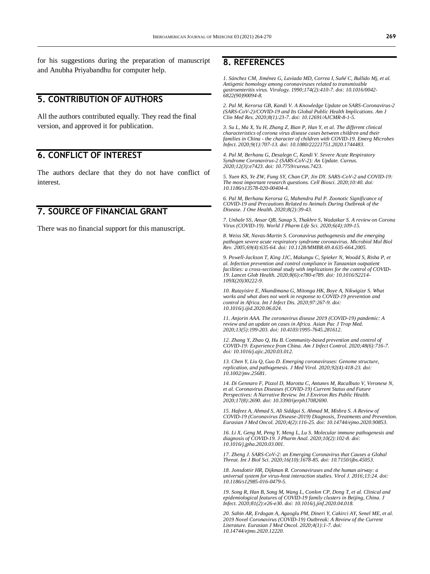for his suggestions during the preparation of manuscript and Anubha Priyabandhu for computer help.

# **5. CONTRIBUTION OF AUTHORS**

All the authors contributed equally. They read the final version, and approved it for publication.

# **6. CONFLICT OF INTEREST**

The authors declare that they do not have conflict of interest.

## **7. SOURCE OF FINANCIAL GRANT**

There was no financial support for this manuscript.

## **8. REFERENCES**

*1. Sánchez CM, Jiménez G, Laviada MD, Correa I, Suñé C, Bullido Mj, et al. Antigenic homology among coronaviruses related to transmissible gastroenteritis virus. Virology. 1990;174(2):410-7. doi[: 10.1016/0042-](https://doi.org/10.1016/0042-6822(90)90094-8) [6822\(90\)90094-8.](https://doi.org/10.1016/0042-6822(90)90094-8)*

*2. Pal M, Kerorsa GB, Kandi V. A Knowledge Update on SARS-Coronavirus-2 (SARS-CoV-2)/COVID-19 and Its Global Public Health Implications. Am J Clin Med Res. 2020;8(1):23-7. doi[: 10.12691/AJCMR-8-1-5.](http://article.clinicalmedicineresearch.com/pdf/AJCMR-8-1-5.pdf)*

*3. Su L, Ma X, Yu H, Zhang Z, Bian P, Han Y, et al. The different clinical characteristics of corona virus disease cases between children and their families in China - the character of children with COVID-19. Emerg Microbes Infect. 2020;9(1):707-13. doi[: 10.1080/22221751.2020.1744483.](https://doi.org/10.1080/22221751.2020.1744483)*

*4. Pal M, Berhanu G, Desalegn C, Kandi V. Severe Acute Respiratory Syndrome Coronavirus-2 (SARS-CoV-2): An Update. Cureus. 2020;12(3):e7423. doi[: 10.7759/cureus.7423.](https://doi.org/10.7759/cureus.7423)*

*5. Yuen KS, Ye ZW, Fung SY, Chan CP, Jin DY. SARS-CoV-2 and COVID-19: The most important research questions. Cell Biosci. 2020;10:40. doi: [10.1186/s13578-020-00404-4.](https://doi.org/10.1186/s13578-020-00404-4)*

*6. Pal M, Berhanu Kerorsa G, Mahendra Pal P. Zoonotic Significance of COVID-19 and Precautions Related to Animals During Outbreak of the Disease. J One Health. 2020;8(2):39-43.*

*7. Unhale SS, Ansar QB, Sanap S, Thakhre S, Wadatkar S. A review on Corona Virus (COVID-19). World J Pharm Life Sci. 2020;6(4):109-15.*

*8. Weiss SR, Navas-Martin S. Coronavirus pathogenesis and the emerging pathogen severe acute respiratory syndrome coronavirus. Microbiol Mol Biol Rev. 2005;69(4):635-64. doi[: 10.1128/MMBR.69.4.635-664.2005.](https://doi.org/10.1128/mmbr.69.4.635-664.2005)*

*9. Powell-Jackson T, King JJC, Makungu C, Spieker N, Woodd S, Risha P, et al. Infection prevention and control compliance in Tanzanian outpatient facilities: a cross-sectional study with implications for the control of COVID-19. Lancet Glob Health. 2020;8(6):e780-e789. doi[: 10.1016/S2214-](https://doi.org/10.1016/s2214-109x(20)30222-9) [109X\(20\)30222-9.](https://doi.org/10.1016/s2214-109x(20)30222-9)*

*10. Rutayisire E, Nkundimana G, Mitonga HK, Boye A, Nikwigize S. What works and what does not work in response to COVID-19 prevention and control in Africa. Int J Infect Dis. 2020;97:267-9. doi: [10.1016/j.ijid.2020.06.024.](https://doi.org/10.1016/j.ijid.2020.06.024)*

*11. Anjorin AAA. The coronavirus disease 2019 (COVID-19) pandemic: A review and an update on cases in Africa. Asian Pac J Trop Med. 2020;13(5):199-203. doi[: 10.4103/1995-7645.281612.](https://doi.org/10.4103/1995-7645.281612)*

*12. Zhang Y, Zhao Q, Hu B. Community-based prevention and control of COVID-19: Experience from China. Am J Infect Control. 2020;48(6):716-7. doi[: 10.1016/j.ajic.2020.03.012.](https://doi.org/10.1016/j.ajic.2020.03.012)*

*13. Chen Y, Liu Q, Guo D. Emerging coronaviruses: Genome structure, replication, and pathogenesis. J Med Virol. 2020;92(4):418-23. doi: [10.1002/jmv.25681.](https://doi.org/10.1002/jmv.25681)*

*14. Di Gennaro F, Pizzol D, Marotta C, Antunes M, Racalbuto V, Veronese N, et al. Coronavirus Diseases (COVID-19) Current Status and Future Perspectives: A Narrative Review. Int J Environ Res Public Health. 2020;17(8):2690. doi[: 10.3390/ijerph17082690.](https://doi.org/10.3390/ijerph17082690)*

*15. Hafeez A, Ahmad S, Ali Siddqui S, Ahmad M, Mishra S. A Review of COVID-19 (Coronavirus Disease-2019) Diagnosis, Treatments and Prevention. Eurasian J Med Oncol. 2020;4(2):116-25. doi[: 10.14744/ejmo.2020.90853.](https://dx.doi.org/10.14744/ejmo.2020.90853)*

*16. Li X, Geng M, Peng Y, Meng L, Lu S. Molecular immune pathogenesis and diagnosis of COVID-19. J Pharm Anal. 2020;10(2):102-8. doi: [10.1016/j.jpha.2020.03.001.](https://doi.org/10.1016/j.jpha.2020.03.001)*

*17. Zheng J. SARS-CoV-2: an Emerging Coronavirus that Causes a Global Threat. Int J Biol Sci. 2020;16(10):1678-85. doi[: 10.7150/ijbs.45053.](https://doi.org/10.7150/ijbs.45053)*

*18. Jonsdottir HR, Dijkman R. Coronaviruses and the human airway: a universal system for virus-host interaction studies. Virol J. 2016;13:24. doi: [10.1186/s12985-016-0479-5.](https://doi.org/10.1186/s12985-016-0479-5)*

*19. Song R, Han B, Song M, Wang L, Conlon CP, Dong T, et al. Clinical and epidemiological features of COVID-19 family clusters in Beijing, China. J Infect. 2020;81(2):e26-e30. doi[: 10.1016/j.jinf.2020.04.018.](https://doi.org/10.1016/j.jinf.2020.04.018)*

*20. Sahin AR, Erdogan A, Agaoglu PM, Dineri Y, Cakirci AY, Senel ME, et al. 2019 Novel Coronavirus (COVID-19) Outbreak: A Review of the Current Literature. Eurasian J Med Oncol. 2020;4(1):1-7. doi: [10.14744/ejmo.2020.12220.](https://dx.doi.org/10.14744/ejmo.2020.12220)*